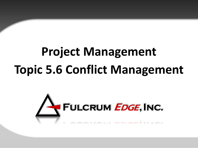# **Project Management Topic 5.6 Conflict Management**

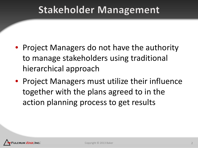### **Stakeholder Management**

- Project Managers do not have the authority to manage stakeholders using traditional hierarchical approach
- Project Managers must utilize their influence together with the plans agreed to in the action planning process to get results

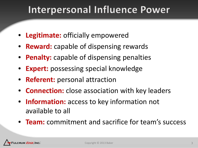### Interpersonal Influence Power

- **Legitimate:** officially empowered
- **Reward:** capable of dispensing rewards
- **Penalty:** capable of dispensing penalties
- **Expert:** possessing special knowledge
- **Referent:** personal attraction
- **Connection:** close association with key leaders
- **Information:** access to key information not available to all
- **Team:** commitment and sacrifice for team's success

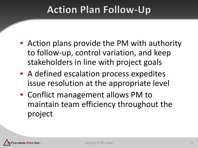### **Action Plan Follow-Up**

- Action plans provide the PM with authority to follow-up, control variation, and keep stakeholders in line with project goals
- A defined escalation process expedites issue resolution at the appropriate level
- Conflict management allows PM to maintain team efficiency throughout the project

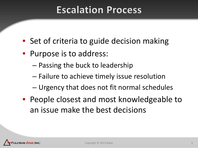### **Escalation Process**

- Set of criteria to guide decision making
- Purpose is to address:
	- Passing the buck to leadership
	- Failure to achieve timely issue resolution
	- Urgency that does not fit normal schedules
- People closest and most knowledgeable to an issue make the best decisions

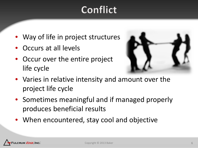### Conflict

- Way of life in project structures
- Occurs at all levels
- Occur over the entire project life cycle



- Varies in relative intensity and amount over the project life cycle
- Sometimes meaningful and if managed properly produces beneficial results
- When encountered, stay cool and objective

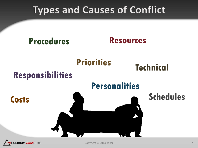### **Types and Causes of Conflict**



CRUM *EDGE*, INC.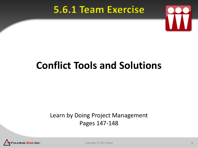### **5.6.1 Team Exercise**



# **Conflict Tools and Solutions**

#### Learn by Doing Project Management Pages 147-148



Copyright © 2013 Baker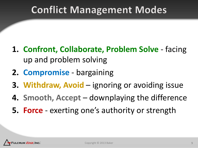### **Conflict Management Modes**

- **1. Confront, Collaborate, Problem Solve**  facing up and problem solving
- **2. Compromise** bargaining
- **3. Withdraw, Avoid**  ignoring or avoiding issue
- **4. Smooth, Accept**  downplaying the difference
- **5. Force** exerting one's authority or strength

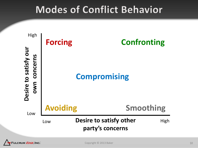### **Modes of Conflict Behavior**

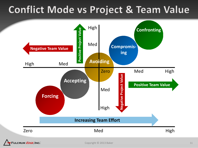### **Conflict Mode vs Project & Team Value**



Copyright © 2013 Baker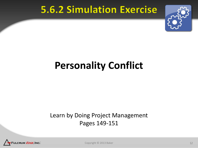### **5.6.2 Simulation Exercise**



## **Personality Conflict**

#### Learn by Doing Project Management Pages 149-151



Copyright © 2013 Baker